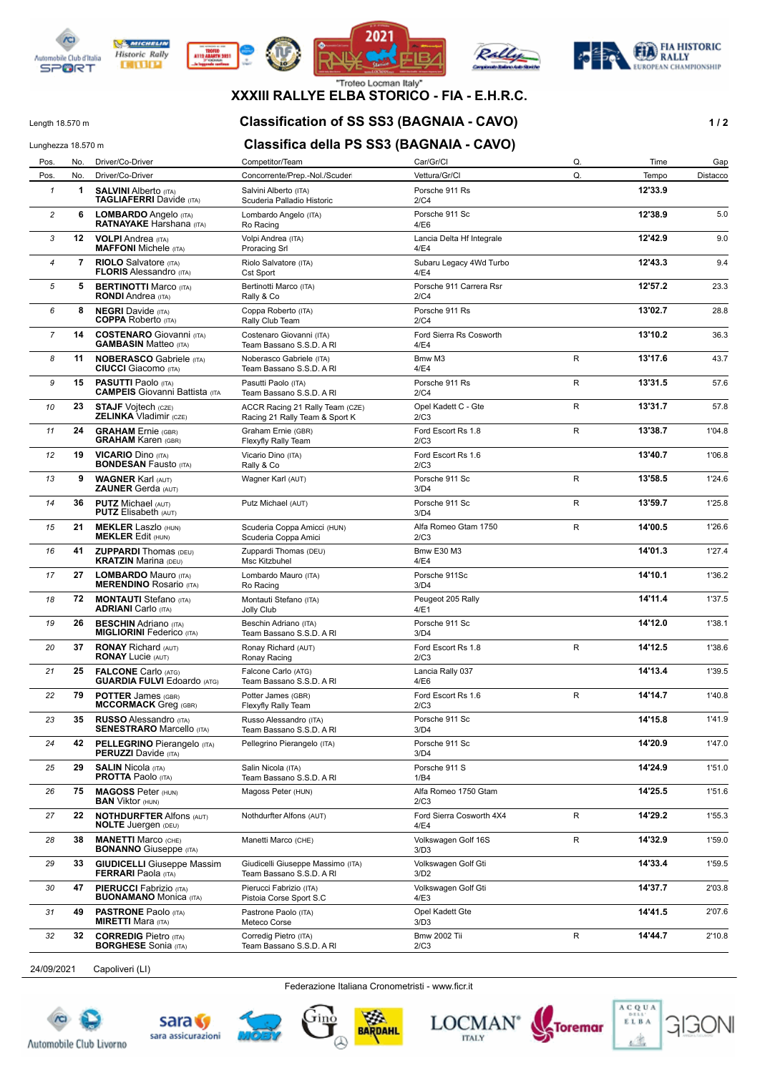



**DITURN** 







## **XXXIII RALLYE ELBA STORICO - FIA - E.H.R.C.**

#### Length 18.570 m **Classification of SS SS3 (BAGNAIA - CAVO) 1 / 2**

## Lunghezza 18.570 m **Classifica della PS SS3 (BAGNAIA - CAVO)**

| Pos.           | No. | Driver/Co-Driver                                                    | Competitor/Team                                                   | Car/Gr/Cl                         | Q.           | Time    | Gap      |
|----------------|-----|---------------------------------------------------------------------|-------------------------------------------------------------------|-----------------------------------|--------------|---------|----------|
| Pos.           | No. | Driver/Co-Driver                                                    | Concorrente/Prep.-Nol./Scuder                                     | Vettura/Gr/Cl                     | Q.           | Tempo   | Distacco |
| $\mathbf{1}$   | 1   | <b>SALVINI Alberto (ITA)</b><br><b>TAGLIAFERRI</b> Davide (ITA)     | Salvini Alberto (ITA)<br>Scuderia Palladio Historic               | Porsche 911 Rs<br>2/C4            |              | 12'33.9 |          |
| $\overline{c}$ | 6   | LOMBARDO Angelo (ITA)<br><b>RATNAYAKE Harshana</b> (ITA)            | Lombardo Angelo (ITA)<br>Ro Racing                                | Porsche 911 Sc<br>4/E6            |              | 12'38.9 | 5.0      |
| 3              | 12  | <b>VOLPI</b> Andrea (ITA)<br><b>MAFFONI</b> Michele (ITA)           | Volpi Andrea (ITA)<br><b>Proracing Srl</b>                        | Lancia Delta Hf Integrale<br>4/E4 |              | 12'42.9 | 9.0      |
| $\overline{4}$ | 7   | <b>RIOLO</b> Salvatore (ITA)<br><b>FLORIS Alessandro (ITA)</b>      | Riolo Salvatore (ITA)<br><b>Cst Sport</b>                         | Subaru Legacy 4Wd Turbo<br>4/E4   |              | 12'43.3 | 9.4      |
| 5              | 5   | <b>BERTINOTTI Marco (ITA)</b><br><b>RONDI</b> Andrea (ITA)          | Bertinotti Marco (ITA)<br>Rally & Co                              | Porsche 911 Carrera Rsr<br>2/C4   |              | 12'57.2 | 23.3     |
| 6              | 8   | <b>NEGRI</b> Davide (ITA)<br><b>COPPA</b> Roberto (ITA)             | Coppa Roberto (ITA)<br>Rally Club Team                            | Porsche 911 Rs<br>2/C4            |              | 13'02.7 | 28.8     |
| 7              | 14  | <b>COSTENARO</b> Giovanni (ITA)<br><b>GAMBASIN Matteo (ITA)</b>     | Costenaro Giovanni (ITA)<br>Team Bassano S.S.D. A RI              | Ford Sierra Rs Cosworth<br>4/E4   |              | 13'10.2 | 36.3     |
| 8              | 11  | <b>NOBERASCO Gabriele (ITA)</b><br><b>CIUCCI</b> Giacomo (ITA)      | Noberasco Gabriele (ITA)<br>Team Bassano S.S.D. A RI              | Bmw M3<br>4/E4                    | $\mathsf{R}$ | 13'17.6 | 43.7     |
| 9              | 15  | <b>PASUTTI Paolo (ITA)</b><br><b>CAMPEIS</b> Giovanni Battista (ITA | Pasutti Paolo (ITA)<br>Team Bassano S.S.D. A RI                   | Porsche 911 Rs<br>2/C4            | $\mathsf{R}$ | 13'31.5 | 57.6     |
| 10             | 23  | <b>STAJF Vojtech (CZE)</b><br><b>ZELINKA Vladimir (CZE)</b>         | ACCR Racing 21 Rally Team (CZE)<br>Racing 21 Rally Team & Sport K | Opel Kadett C - Gte<br>2/C3       | R            | 13'31.7 | 57.8     |
| 11             | 24  | <b>GRAHAM</b> Ernie (GBR)<br><b>GRAHAM Karen (GBR)</b>              | Graham Ernie (GBR)<br>Flexyfly Rally Team                         | Ford Escort Rs 1.8<br>2/C3        | R            | 13'38.7 | 1'04.8   |
| 12             | 19  | <b>VICARIO Dino (ITA)</b><br><b>BONDESAN Fausto (ITA)</b>           | Vicario Dino (ITA)<br>Rally & Co                                  | Ford Escort Rs 1.6<br>2/C3        |              | 13'40.7 | 1'06.8   |
| 13             | 9   | <b>WAGNER Karl (AUT)</b><br><b>ZAUNER Gerda (AUT)</b>               | Wagner Karl (AUT)                                                 | Porsche 911 Sc<br>3/D4            | R            | 13'58.5 | 1'24.6   |
| 14             | 36  | <b>PUTZ Michael (AUT)</b><br><b>PUTZ</b> Elisabeth (AUT)            | Putz Michael (AUT)                                                | Porsche 911 Sc<br>3/D4            | R            | 13'59.7 | 1'25.8   |
| 15             | 21  | <b>MEKLER Laszlo (HUN)</b><br><b>MEKLER Edit (HUN)</b>              | Scuderia Coppa Amicci (HUN)<br>Scuderia Coppa Amici               | Alfa Romeo Gtam 1750<br>2/C3      | R            | 14'00.5 | 1'26.6   |
| 16             | 41  | <b>ZUPPARDI</b> Thomas (DEU)<br><b>KRATZIN Marina (DEU)</b>         | Zuppardi Thomas (DEU)<br>Msc Kitzbuhel                            | <b>Bmw E30 M3</b><br>4/E4         |              | 14'01.3 | 1'27.4   |
| 17             | 27  | <b>LOMBARDO Mauro (ITA)</b><br><b>MERENDINO Rosario (ITA)</b>       | Lombardo Mauro (ITA)<br>Ro Racing                                 | Porsche 911Sc<br>3/D4             |              | 14'10.1 | 1'36.2   |
| 18             | 72  | <b>MONTAUTI</b> Stefano (ITA)<br><b>ADRIANI</b> Carlo (ITA)         | Montauti Stefano (ITA)<br>Jolly Club                              | Peugeot 205 Rally<br>4/E1         |              | 14'11.4 | 1'37.5   |
| 19             | 26  | <b>BESCHIN</b> Adriano (ITA)<br><b>MIGLIORINI Federico (ITA)</b>    | Beschin Adriano (ITA)<br>Team Bassano S.S.D. A RI                 | Porsche 911 Sc<br>3/D4            |              | 14'12.0 | 1'38.1   |
| 20             | 37  | <b>RONAY Richard (AUT)</b><br><b>RONAY Lucie (AUT)</b>              | Ronay Richard (AUT)<br>Ronay Racing                               | Ford Escort Rs 1.8<br>2/C3        | R            | 14'12.5 | 1'38.6   |
| 21             | 25  | <b>FALCONE Carlo (ATG)</b><br><b>GUARDIA FULVI Edoardo (ATG)</b>    | Falcone Carlo (ATG)<br>Team Bassano S.S.D. A RI                   | Lancia Rally 037<br>4/E6          |              | 14'13.4 | 1'39.5   |
| 22             | 79  | <b>POTTER James (GBR)</b><br><b>MCCORMACK</b> Greq (GBR)            | Potter James (GBR)<br>Flexyfly Rally Team                         | Ford Escort Rs 1.6<br>2/C3        | $\mathsf{R}$ | 14'14.7 | 1'40.8   |
| 23             | 35  | <b>RUSSO</b> Alessandro (ITA)<br><b>SENESTRARO Marcello (ITA)</b>   | Russo Alessandro (ITA)<br>Team Bassano S.S.D. A RI                | Porsche 911 Sc<br>3/D4            |              | 14'15.8 | 1'41.9   |
| 24             | 42  | <b>PELLEGRINO</b> Pierangelo (ITA)<br><b>PERUZZI</b> Davide (ITA)   | Pellegrino Pierangelo (ITA)                                       | Porsche 911 Sc<br>3/D4            |              | 14'20.9 | 1'47.0   |
| 25             | 29  | <b>SALIN Nicola (ITA)</b><br><b>PROTTA Paolo (ITA)</b>              | Salin Nicola (ITA)<br>Team Bassano S.S.D. A RI                    | Porsche 911 S<br>1/B4             |              | 14'24.9 | 1'51.0   |
| 26             | 75  | <b>MAGOSS Peter (HUN)</b><br><b>BAN</b> Viktor (HUN)                | Magoss Peter (HUN)                                                | Alfa Romeo 1750 Gtam<br>2/C3      |              | 14'25.5 | 1'51.6   |
| 27             | 22  | <b>NOTHDURFTER Alfons (AUT)</b><br><b>NOLTE</b> Juergen (DEU)       | Nothdurfter Alfons (AUT)                                          | Ford Sierra Cosworth 4X4<br>4/E4  | R            | 14'29.2 | 1'55.3   |
| 28             | 38  | <b>MANETTI Marco (CHE)</b><br><b>BONANNO</b> Giuseppe (ITA)         | Manetti Marco (CHE)                                               | Volkswagen Golf 16S<br>3/D3       | R            | 14'32.9 | 1'59.0   |
| 29             | 33  | <b>GIUDICELLI</b> Giuseppe Massim<br><b>FERRARI</b> Paola (ITA)     | Giudicelli Giuseppe Massimo (ITA)<br>Team Bassano S.S.D. A RI     | Volkswagen Golf Gti<br>3/D2       |              | 14'33.4 | 1'59.5   |
| 30             | 47  | <b>PIERUCCI</b> Fabrizio (ITA)<br><b>BUONAMANO Monica (ITA)</b>     | Pierucci Fabrizio (ITA)<br>Pistoia Corse Sport S.C                | Volkswagen Golf Gti<br>4/E3       |              | 14'37.7 | 2'03.8   |
| 31             | 49  | <b>PASTRONE Paolo (ITA)</b><br><b>MIRETTI</b> Mara (ITA)            | Pastrone Paolo (ITA)<br>Meteco Corse                              | Opel Kadett Gte<br>3/D3           |              | 14'41.5 | 2'07.6   |
| 32             | 32  | <b>CORREDIG Pietro (ITA)</b><br><b>BORGHESE</b> Sonia (ITA)         | Corredig Pietro (ITA)<br>Team Bassano S.S.D. A RI                 | <b>Bmw 2002 Tii</b><br>2/C3       | R            | 14'44.7 | 2'10.8   |
|                |     |                                                                     |                                                                   |                                   |              |         |          |

24/09/2021 Capoliveri (LI)

Federazione Italiana Cronometristi - www.ficr.it